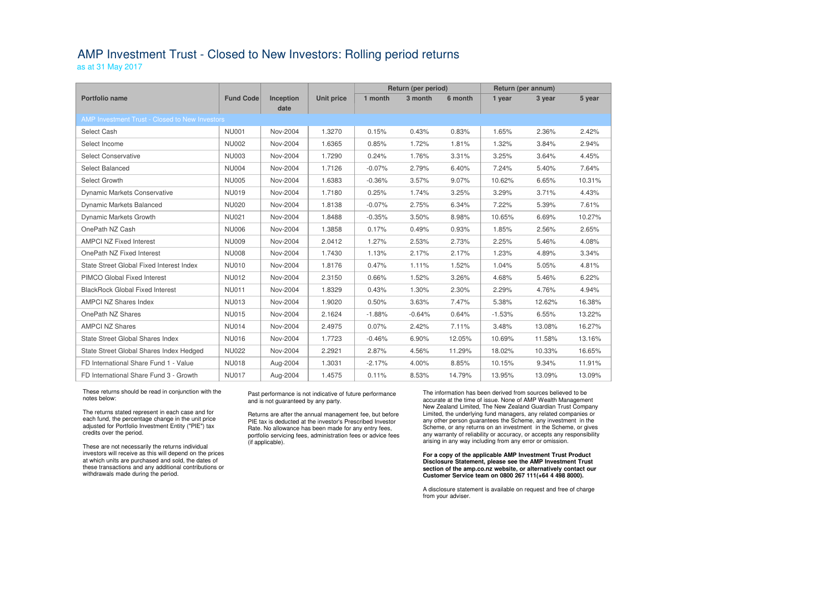## AMP Investment Trust - Closed to New Investors: Rolling period returns

as at 31 May 2017

|                                                |                  |                  |                   | <b>Return (per period)</b> |          |         | Return (per annum) |        |        |  |  |  |  |
|------------------------------------------------|------------------|------------------|-------------------|----------------------------|----------|---------|--------------------|--------|--------|--|--|--|--|
| <b>Portfolio name</b>                          | <b>Fund Code</b> | <b>Inception</b> | <b>Unit price</b> | 1 month                    | 3 month  | 6 month | 1 year             | 3 year | 5 year |  |  |  |  |
|                                                |                  | date             |                   |                            |          |         |                    |        |        |  |  |  |  |
| AMP Investment Trust - Closed to New Investors |                  |                  |                   |                            |          |         |                    |        |        |  |  |  |  |
| Select Cash                                    | <b>NU001</b>     | Nov-2004         | 1.3270            | 0.15%                      | 0.43%    | 0.83%   | 1.65%              | 2.36%  | 2.42%  |  |  |  |  |
| Select Income                                  | <b>NU002</b>     | Nov-2004         | 1.6365            | 0.85%                      | 1.72%    | 1.81%   | 1.32%              | 3.84%  | 2.94%  |  |  |  |  |
| <b>Select Conservative</b>                     | <b>NU003</b>     | Nov-2004         | 1.7290            | 0.24%                      | 1.76%    | 3.31%   | 3.25%              | 3.64%  | 4.45%  |  |  |  |  |
| <b>Select Balanced</b>                         | <b>NU004</b>     | Nov-2004         | 1.7126            | $-0.07%$                   | 2.79%    | 6.40%   | 7.24%              | 5.40%  | 7.64%  |  |  |  |  |
| Select Growth                                  | <b>NU005</b>     | Nov-2004         | 1.6383            | $-0.36%$                   | 3.57%    | 9.07%   | 10.62%             | 6.65%  | 10.31% |  |  |  |  |
| <b>Dynamic Markets Conservative</b>            | <b>NU019</b>     | Nov-2004         | 1.7180            | 0.25%                      | 1.74%    | 3.25%   | 3.29%              | 3.71%  | 4.43%  |  |  |  |  |
| <b>Dynamic Markets Balanced</b>                | <b>NU020</b>     | Nov-2004         | 1.8138            | $-0.07%$                   | 2.75%    | 6.34%   | 7.22%              | 5.39%  | 7.61%  |  |  |  |  |
| Dynamic Markets Growth                         | <b>NU021</b>     | Nov-2004         | 1.8488            | $-0.35%$                   | 3.50%    | 8.98%   | 10.65%             | 6.69%  | 10.27% |  |  |  |  |
| OnePath NZ Cash                                | <b>NU006</b>     | Nov-2004         | 1.3858            | 0.17%                      | 0.49%    | 0.93%   | 1.85%              | 2.56%  | 2.65%  |  |  |  |  |
| <b>AMPCI NZ Fixed Interest</b>                 | <b>NU009</b>     | Nov-2004         | 2.0412            | 1.27%                      | 2.53%    | 2.73%   | 2.25%              | 5.46%  | 4.08%  |  |  |  |  |
| OnePath NZ Fixed Interest                      | <b>NU008</b>     | Nov-2004         | 1.7430            | 1.13%                      | 2.17%    | 2.17%   | 1.23%              | 4.89%  | 3.34%  |  |  |  |  |
| State Street Global Fixed Interest Index       | <b>NU010</b>     | Nov-2004         | 1.8176            | 0.47%                      | 1.11%    | 1.52%   | 1.04%              | 5.05%  | 4.81%  |  |  |  |  |
| PIMCO Global Fixed Interest                    | <b>NU012</b>     | Nov-2004         | 2.3150            | 0.66%                      | 1.52%    | 3.26%   | 4.68%              | 5.46%  | 6.22%  |  |  |  |  |
| <b>BlackRock Global Fixed Interest</b>         | <b>NU011</b>     | Nov-2004         | 1.8329            | 0.43%                      | 1.30%    | 2.30%   | 2.29%              | 4.76%  | 4.94%  |  |  |  |  |
| <b>AMPCI NZ Shares Index</b>                   | <b>NU013</b>     | Nov-2004         | 1.9020            | 0.50%                      | 3.63%    | 7.47%   | 5.38%              | 12.62% | 16.38% |  |  |  |  |
| OnePath NZ Shares                              | <b>NU015</b>     | Nov-2004         | 2.1624            | $-1.88%$                   | $-0.64%$ | 0.64%   | $-1.53%$           | 6.55%  | 13.22% |  |  |  |  |
| <b>AMPCI NZ Shares</b>                         | <b>NU014</b>     | Nov-2004         | 2.4975            | 0.07%                      | 2.42%    | 7.11%   | 3.48%              | 13.08% | 16.27% |  |  |  |  |
| State Street Global Shares Index               | <b>NU016</b>     | Nov-2004         | 1.7723            | $-0.46%$                   | 6.90%    | 12.05%  | 10.69%             | 11.58% | 13.16% |  |  |  |  |
| State Street Global Shares Index Hedged        | <b>NU022</b>     | Nov-2004         | 2.2921            | 2.87%                      | 4.56%    | 11.29%  | 18.02%             | 10.33% | 16.65% |  |  |  |  |
| FD International Share Fund 1 - Value          | <b>NU018</b>     | Aug-2004         | 1.3031            | $-2.17%$                   | 4.00%    | 8.85%   | 10.15%             | 9.34%  | 11.91% |  |  |  |  |
| FD International Share Fund 3 - Growth         | <b>NU017</b>     | Aug-2004         | 1.4575            | 0.11%                      | 8.53%    | 14.79%  | 13.95%             | 13.09% | 13.09% |  |  |  |  |

These returns should be read in conjunction with the notes below:

The returns stated represent in each case and for each fund, the percentage change in the unit price adjusted for Portfolio Investment Entity ("PIE") tax credits over the period.

These are not necessarily the returns individual investors will receive as this will depend on the prices at which units are purchased and sold, the dates of these transactions and any additional contributions or withdrawals made during the period.

### Past performance is not indicative of future performance and is not guaranteed by any party.

Returns are after the annual management fee, but before PIE tax is deducted at the investor's Prescribed Investor Rate. No allowance has been made for any entry fees, portfolio servicing fees, administration fees or advice fees (if applicable).

The information has been derived from sources believed to be accurate at the time of issue. None of AMP Wealth Management New Zealand Limited, The New Zealand Guardian Trust Company Limited, the underlying fund managers, any related companies or any other person guarantees the Scheme, any investment in the Scheme, or any returns on an investment in the Scheme, or gives any warranty of reliability or accuracy, or accepts any responsibility arising in any way including from any error or omission.

#### **For a copy of the applicable AMP Investment Trust Product Disclosure Statement, please see the AMP Investment Trust section of the amp.co.nz website, or alternatively contact our Customer Service team on 0800 267 111(+64 4 498 8000).**

A disclosure statement is available on request and free of charge from your adviser.